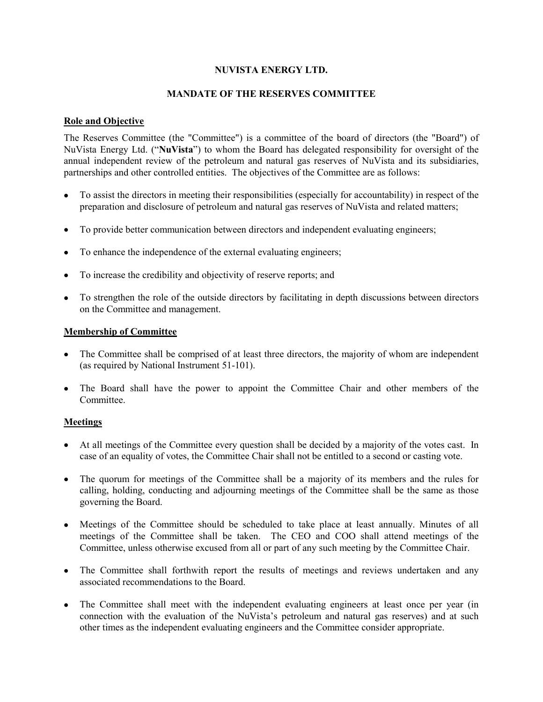## **NUVISTA ENERGY LTD.**

## **MANDATE OF THE RESERVES COMMITTEE**

# **Role and Objective**

The Reserves Committee (the "Committee") is a committee of the board of directors (the "Board") of NuVista Energy Ltd. ("**NuVista**") to whom the Board has delegated responsibility for oversight of the annual independent review of the petroleum and natural gas reserves of NuVista and its subsidiaries, partnerships and other controlled entities. The objectives of the Committee are as follows:

- To assist the directors in meeting their responsibilities (especially for accountability) in respect of the preparation and disclosure of petroleum and natural gas reserves of NuVista and related matters;
- To provide better communication between directors and independent evaluating engineers;
- To enhance the independence of the external evaluating engineers;
- To increase the credibility and objectivity of reserve reports; and
- To strengthen the role of the outside directors by facilitating in depth discussions between directors on the Committee and management.

### **Membership of Committee**

- The Committee shall be comprised of at least three directors, the majority of whom are independent (as required by National Instrument 51-101).
- The Board shall have the power to appoint the Committee Chair and other members of the Committee.

### **Meetings**

- At all meetings of the Committee every question shall be decided by a majority of the votes cast. In case of an equality of votes, the Committee Chair shall not be entitled to a second or casting vote.
- The quorum for meetings of the Committee shall be a majority of its members and the rules for calling, holding, conducting and adjourning meetings of the Committee shall be the same as those governing the Board.
- Meetings of the Committee should be scheduled to take place at least annually. Minutes of all meetings of the Committee shall be taken. The CEO and COO shall attend meetings of the Committee, unless otherwise excused from all or part of any such meeting by the Committee Chair.
- The Committee shall forthwith report the results of meetings and reviews undertaken and any associated recommendations to the Board.
- The Committee shall meet with the independent evaluating engineers at least once per year (in connection with the evaluation of the NuVista's petroleum and natural gas reserves) and at such other times as the independent evaluating engineers and the Committee consider appropriate.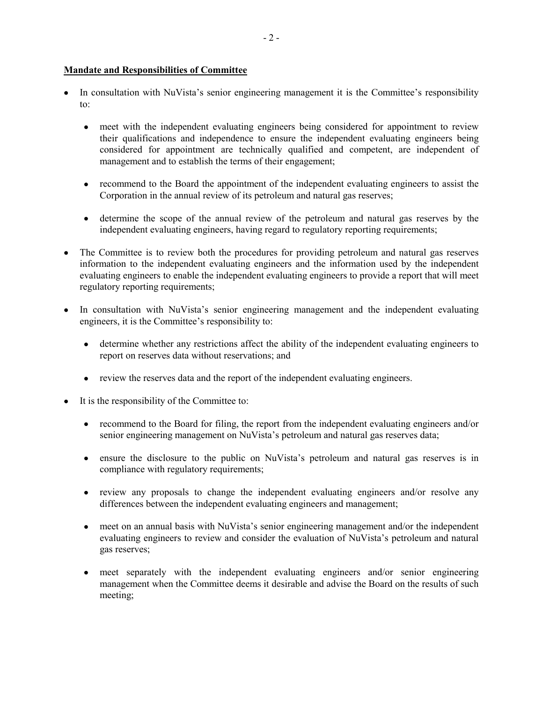### **Mandate and Responsibilities of Committee**

- In consultation with NuVista's senior engineering management it is the Committee's responsibility to:
	- meet with the independent evaluating engineers being considered for appointment to review their qualifications and independence to ensure the independent evaluating engineers being considered for appointment are technically qualified and competent, are independent of management and to establish the terms of their engagement;
	- recommend to the Board the appointment of the independent evaluating engineers to assist the Corporation in the annual review of its petroleum and natural gas reserves;
	- determine the scope of the annual review of the petroleum and natural gas reserves by the independent evaluating engineers, having regard to regulatory reporting requirements;
- The Committee is to review both the procedures for providing petroleum and natural gas reserves information to the independent evaluating engineers and the information used by the independent evaluating engineers to enable the independent evaluating engineers to provide a report that will meet regulatory reporting requirements;
- In consultation with NuVista's senior engineering management and the independent evaluating engineers, it is the Committee's responsibility to:
	- determine whether any restrictions affect the ability of the independent evaluating engineers to report on reserves data without reservations; and
	- review the reserves data and the report of the independent evaluating engineers.
- It is the responsibility of the Committee to:
	- recommend to the Board for filing, the report from the independent evaluating engineers and/or senior engineering management on NuVista's petroleum and natural gas reserves data;
	- ensure the disclosure to the public on NuVista's petroleum and natural gas reserves is in compliance with regulatory requirements;
	- review any proposals to change the independent evaluating engineers and/or resolve any differences between the independent evaluating engineers and management;
	- meet on an annual basis with NuVista's senior engineering management and/or the independent evaluating engineers to review and consider the evaluation of NuVista's petroleum and natural gas reserves;
	- meet separately with the independent evaluating engineers and/or senior engineering management when the Committee deems it desirable and advise the Board on the results of such meeting;